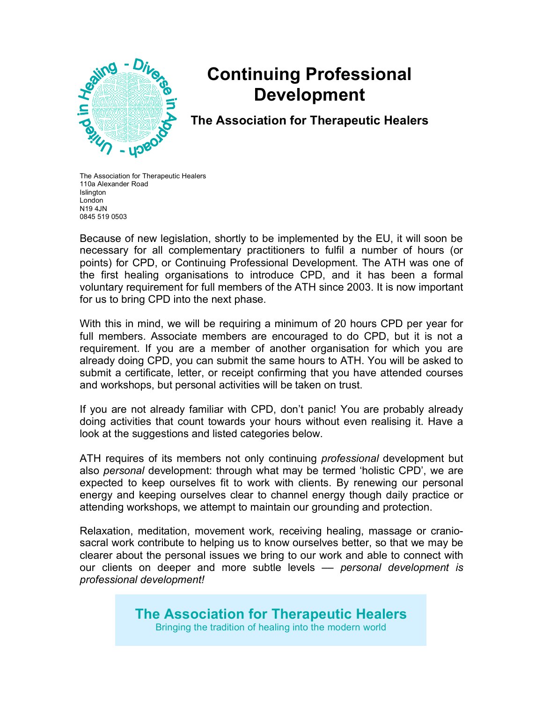

# **Continuing Professional Development**

**The Association for Therapeutic Healers**

The Association for Therapeutic Healers 110a Alexander Road **Islington** London N19 4JN 0845 519 0503

Because of new legislation, shortly to be implemented by the EU, it will soon be necessary for all complementary practitioners to fulfil a number of hours (or points) for CPD, or Continuing Professional Development. The ATH was one of the first healing organisations to introduce CPD, and it has been a formal voluntary requirement for full members of the ATH since 2003. It is now important for us to bring CPD into the next phase.

With this in mind, we will be requiring a minimum of 20 hours CPD per year for full members. Associate members are encouraged to do CPD, but it is not a requirement. If you are a member of another organisation for which you are already doing CPD, you can submit the same hours to ATH. You will be asked to submit a certificate, letter, or receipt confirming that you have attended courses and workshops, but personal activities will be taken on trust.

If you are not already familiar with CPD, don't panic! You are probably already doing activities that count towards your hours without even realising it. Have a look at the suggestions and listed categories below.

ATH requires of its members not only continuing *professional* development but also *personal* development: through what may be termed 'holistic CPD', we are expected to keep ourselves fit to work with clients. By renewing our personal energy and keeping ourselves clear to channel energy though daily practice or attending workshops, we attempt to maintain our grounding and protection.

Relaxation, meditation, movement work, receiving healing, massage or craniosacral work contribute to helping us to know ourselves better, so that we may be clearer about the personal issues we bring to our work and able to connect with our clients on deeper and more subtle levels –– *personal development is professional development!*

# **The Association for Therapeutic Healers**

Bringing the tradition of healing into the modern world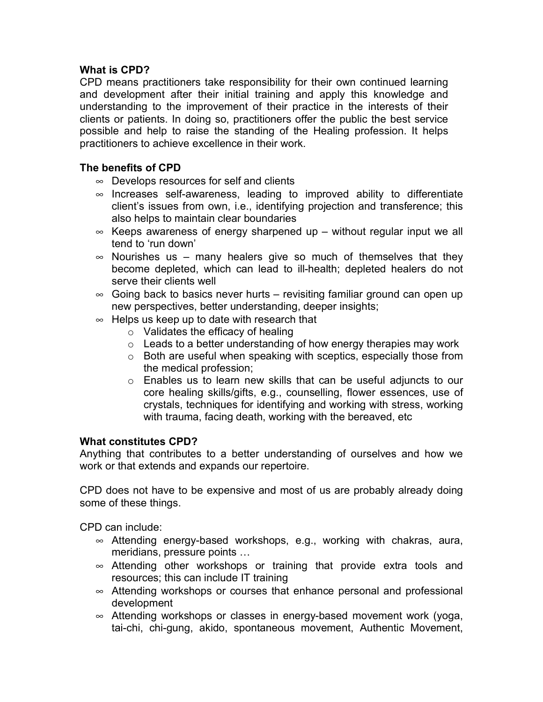#### **What is CPD?**

CPD means practitioners take responsibility for their own continued learning and development after their initial training and apply this knowledge and understanding to the improvement of their practice in the interests of their clients or patients. In doing so, practitioners offer the public the best service possible and help to raise the standing of the Healing profession. It helps practitioners to achieve excellence in their work.

### **The benefits of CPD**

- $\infty$  Develops resources for self and clients
- $\infty$  Increases self-awareness, leading to improved ability to differentiate client's issues from own, i.e., identifying projection and transference; this also helps to maintain clear boundaries
- $\infty$  Keeps awareness of energy sharpened up without regular input we all tend to 'run down'
- $\infty$  Nourishes us many healers give so much of themselves that they become depleted, which can lead to ill-health; depleted healers do not serve their clients well
- $\infty$  Going back to basics never hurts revisiting familiar ground can open up new perspectives, better understanding, deeper insights;
- $\infty$  Helps us keep up to date with research that
	- $\circ$  Validates the efficacy of healing
	- $\circ$  Leads to a better understanding of how energy therapies may work
	- o Both are useful when speaking with sceptics, especially those from the medical profession;
	- o Enables us to learn new skills that can be useful adjuncts to our core healing skills/gifts, e.g., counselling, flower essences, use of crystals, techniques for identifying and working with stress, working with trauma, facing death, working with the bereaved, etc

#### **What constitutes CPD?**

Anything that contributes to a better understanding of ourselves and how we work or that extends and expands our repertoire.

CPD does not have to be expensive and most of us are probably already doing some of these things.

CPD can include:

- $\infty$  Attending energy-based workshops, e.g., working with chakras, aura, meridians, pressure points …
- $\infty$  Attending other workshops or training that provide extra tools and resources; this can include IT training
- $\infty$  Attending workshops or courses that enhance personal and professional development
- $\infty$  Attending workshops or classes in energy-based movement work (yoga, tai-chi, chi-gung, akido, spontaneous movement, Authentic Movement,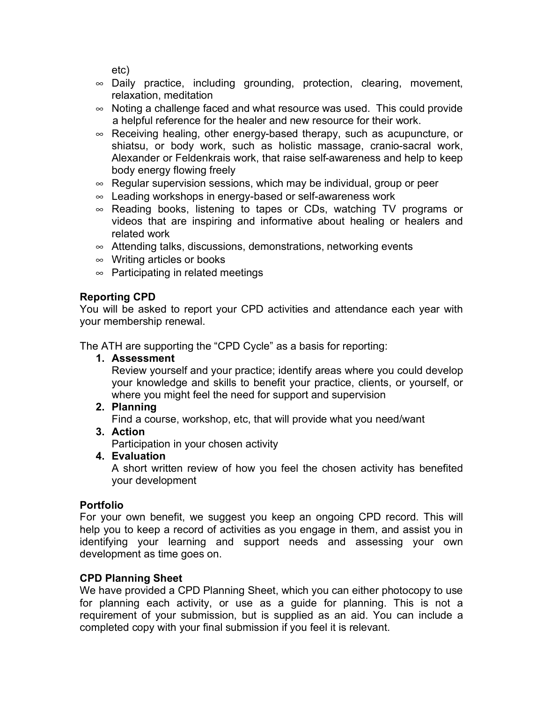etc)

- $\infty$  Daily practice, including grounding, protection, clearing, movement, relaxation, meditation
- $\infty$  Noting a challenge faced and what resource was used. This could provide a helpful reference for the healer and new resource for their work.
- $\infty$  Receiving healing, other energy-based therapy, such as acupuncture, or shiatsu, or body work, such as holistic massage, cranio-sacral work, Alexander or Feldenkrais work, that raise self-awareness and help to keep body energy flowing freely
- $\infty$  Regular supervision sessions, which may be individual, group or peer
- $\infty$  Leading workshops in energy-based or self-awareness work
- $\infty$  Reading books, listening to tapes or CDs, watching TV programs or videos that are inspiring and informative about healing or healers and related work
- $\infty$  Attending talks, discussions, demonstrations, networking events
- $\infty$  Writing articles or books
- $\infty$  Participating in related meetings

## **Reporting CPD**

You will be asked to report your CPD activities and attendance each year with your membership renewal.

The ATH are supporting the "CPD Cycle" as a basis for reporting:

**1. Assessment**

Review yourself and your practice; identify areas where you could develop your knowledge and skills to benefit your practice, clients, or yourself, or where you might feel the need for support and supervision

**2. Planning**

Find a course, workshop, etc, that will provide what you need/want

**3. Action**

Participation in your chosen activity

**4. Evaluation**

A short written review of how you feel the chosen activity has benefited your development

## **Portfolio**

For your own benefit, we suggest you keep an ongoing CPD record. This will help you to keep a record of activities as you engage in them, and assist you in identifying your learning and support needs and assessing your own development as time goes on.

## **CPD Planning Sheet**

We have provided a CPD Planning Sheet, which you can either photocopy to use for planning each activity, or use as a guide for planning. This is not a requirement of your submission, but is supplied as an aid. You can include a completed copy with your final submission if you feel it is relevant.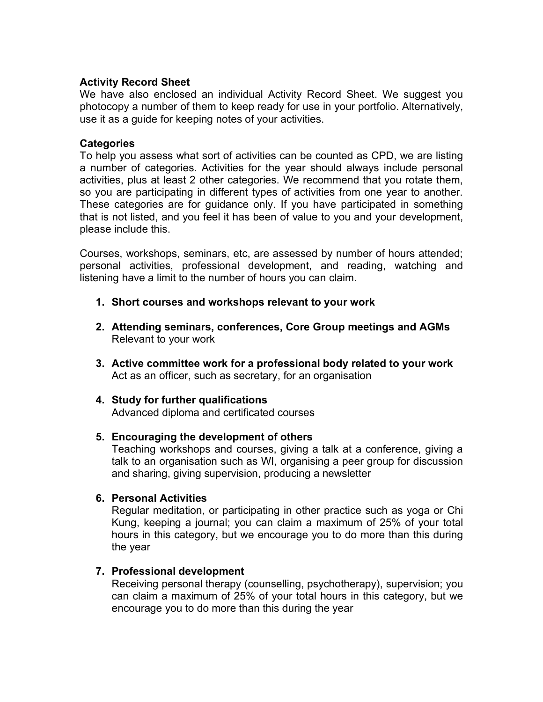#### **Activity Record Sheet**

We have also enclosed an individual Activity Record Sheet. We suggest you photocopy a number of them to keep ready for use in your portfolio. Alternatively, use it as a guide for keeping notes of your activities.

#### **Categories**

To help you assess what sort of activities can be counted as CPD, we are listing a number of categories. Activities for the year should always include personal activities, plus at least 2 other categories. We recommend that you rotate them, so you are participating in different types of activities from one year to another. These categories are for guidance only. If you have participated in something that is not listed, and you feel it has been of value to you and your development, please include this.

Courses, workshops, seminars, etc, are assessed by number of hours attended; personal activities, professional development, and reading, watching and listening have a limit to the number of hours you can claim.

- **1. Short courses and workshops relevant to your work**
- **2. Attending seminars, conferences, Core Group meetings and AGMs** Relevant to your work
- **3. Active committee work for a professional body related to your work** Act as an officer, such as secretary, for an organisation
- **4. Study for further qualifications**

Advanced diploma and certificated courses

#### **5. Encouraging the development of others**

Teaching workshops and courses, giving a talk at a conference, giving a talk to an organisation such as WI, organising a peer group for discussion and sharing, giving supervision, producing a newsletter

#### **6. Personal Activities**

Regular meditation, or participating in other practice such as yoga or Chi Kung, keeping a journal; you can claim a maximum of 25% of your total hours in this category, but we encourage you to do more than this during the year

#### **7. Professional development**

Receiving personal therapy (counselling, psychotherapy), supervision; you can claim a maximum of 25% of your total hours in this category, but we encourage you to do more than this during the year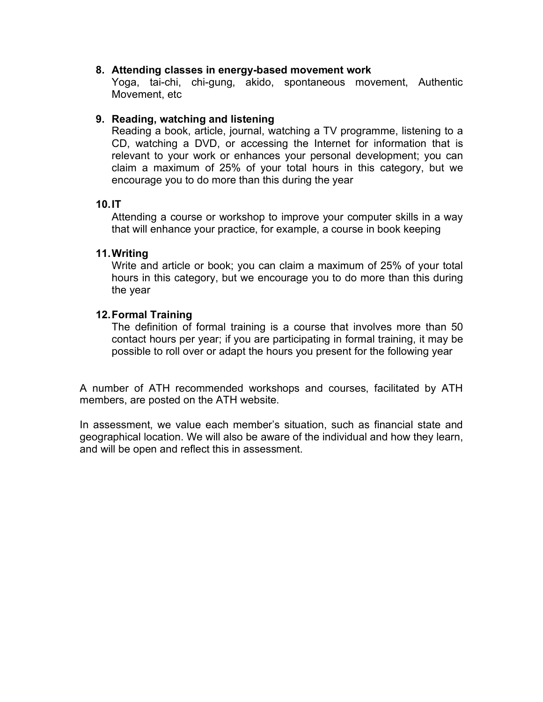#### **8. Attending classes in energy-based movement work**

Yoga, tai-chi, chi-gung, akido, spontaneous movement, Authentic Movement, etc

#### **9. Reading, watching and listening**

Reading a book, article, journal, watching a TV programme, listening to a CD, watching a DVD, or accessing the Internet for information that is relevant to your work or enhances your personal development; you can claim a maximum of 25% of your total hours in this category, but we encourage you to do more than this during the year

#### **10.IT**

Attending a course or workshop to improve your computer skills in a way that will enhance your practice, for example, a course in book keeping

#### **11.Writing**

Write and article or book; you can claim a maximum of 25% of your total hours in this category, but we encourage you to do more than this during the year

#### **12.Formal Training**

The definition of formal training is a course that involves more than 50 contact hours per year; if you are participating in formal training, it may be possible to roll over or adapt the hours you present for the following year

A number of ATH recommended workshops and courses, facilitated by ATH members, are posted on the ATH website.

In assessment, we value each member's situation, such as financial state and geographical location. We will also be aware of the individual and how they learn, and will be open and reflect this in assessment.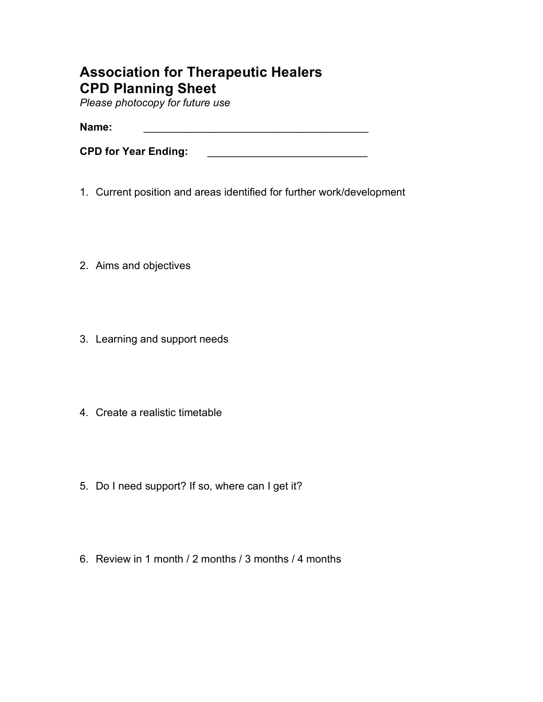# **Association for Therapeutic Healers CPD Planning Sheet**

*Please photocopy for future use*

**Name:** \_\_\_\_\_\_\_\_\_\_\_\_\_\_\_\_\_\_\_\_\_\_\_\_\_\_\_\_\_\_\_\_\_\_\_\_\_\_

**CPD for Year Ending: CPD for Year Ending:** 

- 1. Current position and areas identified for further work/development
- 2. Aims and objectives
- 3. Learning and support needs
- 4. Create a realistic timetable
- 5. Do I need support? If so, where can I get it?
- 6. Review in 1 month / 2 months / 3 months / 4 months